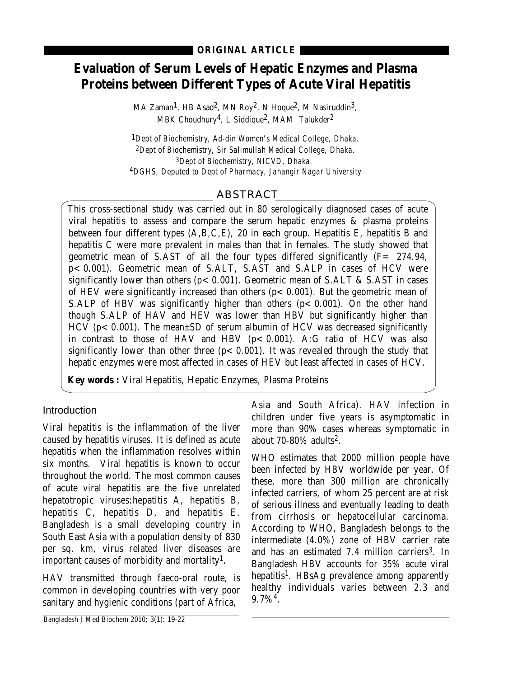# **Evaluation of Serum Levels of Hepatic Enzymes and Plasma Proteins between Different Types of Acute Viral Hepatitis**

MA Zaman<sup>1</sup>, HB Asad<sup>2</sup>, MN Roy<sup>2</sup>, N Hoque<sup>2</sup>, M Nasiruddin<sup>3</sup>, MBK Choudhury<sup>4</sup>, L Siddique<sup>2</sup>, MAM Talukder<sup>2</sup>

*1Dept of Biochemistry, Ad-din Women's Medical College, Dhaka. 2Dept of Biochemistry, Sir Salimullah Medical College, Dhaka. 3Dept of Biochemistry, NICVD, Dhaka. 4DGHS, Deputed to Dept of Pharmacy, Jahangir Nagar University*

# ABSTRACT

This cross-sectional study was carried out in 80 serologically diagnosed cases of acute viral hepatitis to assess and compare the serum hepatic enzymes & plasma proteins between four different types (A,B,C,E), 20 in each group. Hepatitis E, hepatitis B and hepatitis C were more prevalent in males than that in females. The study showed that geometric mean of S.AST of all the four types differed significantly  $(F = 274.94$ , p< 0.001). Geometric mean of S.ALT, S.AST and S.ALP in cases of HCV were significantly lower than others ( $p$ < 0.001). Geometric mean of S.ALT & S.AST in cases of HEV were significantly increased than others ( $p < 0.001$ ). But the geometric mean of S.ALP of HBV was significantly higher than others  $(p < 0.001)$ . On the other hand though S.ALP of HAV and HEV was lower than HBV but significantly higher than  $HCV$  (p< 0.001). The mean $\pm$ SD of serum albumin of HCV was decreased significantly in contrast to those of HAV and HBV  $(p < 0.001)$ . A:G ratio of HCV was also significantly lower than other three  $(p < 0.001)$ . It was revealed through the study that hepatic enzymes were most affected in cases of HEV but least affected in cases of HCV.

**Key words :** Viral Hepatitis, Hepatic Enzymes, Plasma Proteins

## **Introduction**

Viral hepatitis is the inflammation of the liver caused by hepatitis viruses. It is defined as acute hepatitis when the inflammation resolves within six months. Viral hepatitis is known to occur throughout the world. The most common causes of acute viral hepatitis are the five unrelated hepatotropic viruses:hepatitis A, hepatitis B, hepatitis C, hepatitis D, and hepatitis E. Bangladesh is a small developing country in South East Asia with a population density of 830 per sq. km, virus related liver diseases are important causes of morbidity and mortality<sup>1</sup>.

HAV transmitted through faeco-oral route, is common in developing countries with very poor sanitary and hygienic conditions (part of Africa,

Asia and South Africa). HAV infection in children under five years is asymptomatic in more than 90% cases whereas symptomatic in about 70-80% adults2.

WHO estimates that 2000 million people have been infected by HBV worldwide per year. Of these, more than 300 million are chronically infected carriers, of whom 25 percent are at risk of serious illness and eventually leading to death from cirrhosis or hepatocellular carcinoma. According to WHO, Bangladesh belongs to the intermediate (4.0%) zone of HBV carrier rate and has an estimated 7.4 million carriers<sup>3</sup>. In Bangladesh HBV accounts for 35% acute viral hepatitis<sup>1</sup>. HBsAg prevalence among apparently healthy individuals varies between 2.3 and  $9.7\%<sup>4</sup>$ .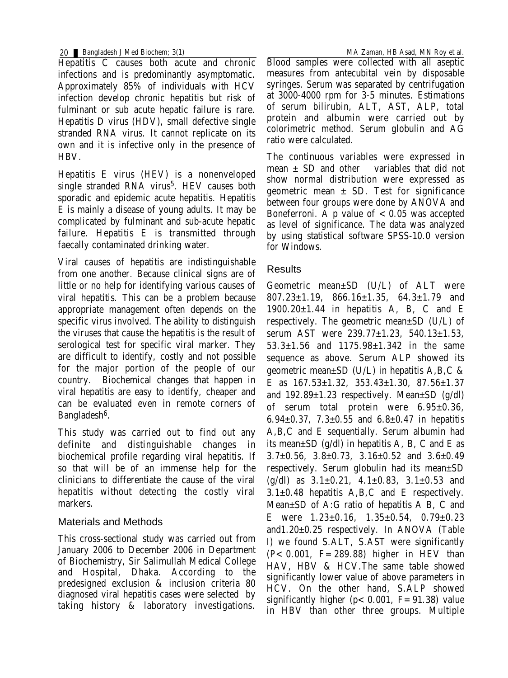20 Bangladesh J Med Biochem; 3(1) MA Zaman, HB Asad, MN Roy et al.

Hepatitis C causes both acute and chronic infections and is predominantly asymptomatic. Approximately 85% of individuals with HCV infection develop chronic hepatitis but risk of fulminant or sub acute hepatic failure is rare. Hepatitis D virus (HDV), small defective single stranded RNA virus. It cannot replicate on its own and it is infective only in the presence of HBV.

Hepatitis E virus (HEV) is a nonenveloped single stranded RNA virus<sup>5</sup>. HEV causes both sporadic and epidemic acute hepatitis. Hepatitis E is mainly a disease of young adults. It may be complicated by fulminant and sub-acute hepatic failure. Hepatitis E is transmitted through faecally contaminated drinking water.

Viral causes of hepatitis are indistinguishable from one another. Because clinical signs are of little or no help for identifying various causes of viral hepatitis. This can be a problem because appropriate management often depends on the specific virus involved. The ability to distinguish the viruses that cause the hepatitis is the result of serological test for specific viral marker. They are difficult to identify, costly and not possible for the major portion of the people of our country. Biochemical changes that happen in viral hepatitis are easy to identify, cheaper and can be evaluated even in remote corners of Bangladesh<sup>6</sup>.

This study was carried out to find out any definite and distinguishable changes in biochemical profile regarding viral hepatitis. If so that will be of an immense help for the clinicians to differentiate the cause of the viral hepatitis without detecting the costly viral markers.

### Materials and Methods

This cross-sectional study was carried out from January 2006 to December 2006 in Department of Biochemistry, Sir Salimullah Medical College and Hospital, Dhaka. According to the predesigned exclusion & inclusion criteria 80 diagnosed viral hepatitis cases were selected by taking history & laboratory investigations.

Blood samples were collected with all aseptic measures from antecubital vein by disposable syringes. Serum was separated by centrifugation at 3000-4000 rpm for 3-5 minutes. Estimations of serum bilirubin, ALT, AST, ALP, total protein and albumin were carried out by colorimetric method. Serum globulin and AG ratio were calculated.

The continuous variables were expressed in mean  $\pm$  SD and other variables that did not show normal distribution were expressed as geometric mean  $\pm$  SD. Test for significance between four groups were done by ANOVA and Boneferroni. A p value of  $< 0.05$  was accepted as level of significance. The data was analyzed by using statistical software SPSS-10.0 version for Windows.

#### **Results**

Geometric mean±SD (U/L) of ALT were 807.23±1.19, 866.16±1.35, 64.3±1.79 and  $1900.20\pm1.44$  in hepatitis A, B, C and E respectively. The geometric mean±SD (U/L) of serum AST were 239.77±1.23, 540.13±1.53, 53.3±1.56 and 1175.98±1.342 in the same sequence as above. Serum ALP showed its geometric mean±SD (U/L) in hepatitis A,B,C & E as 167.53±1.32, 353.43±1.30, 87.56±1.37 and  $192.89\pm1.23$  respectively. Mean $\pm$ SD (g/dl) of serum total protein were 6.95±0.36, 6.94 $\pm$ 0.37, 7.3 $\pm$ 0.55 and 6.8 $\pm$ 0.47 in hepatitis A,B,C and E sequentially. Serum albumin had its mean $\pm$ SD (g/dl) in hepatitis A, B, C and E as  $3.7\pm0.56$ ,  $3.8\pm0.73$ ,  $3.16\pm0.52$  and  $3.6\pm0.49$ respectively. Serum globulin had its mean±SD  $(g/dl)$  as  $3.1 \pm 0.21$ ,  $4.1 \pm 0.83$ ,  $3.1 \pm 0.53$  and 3.1±0.48 hepatitis A,B,C and E respectively. Mean±SD of A:G ratio of hepatitis A B, C and E were  $1.23 \pm 0.16$ ,  $1.35 \pm 0.54$ ,  $0.79 \pm 0.23$ and1.20±0.25 respectively. In ANOVA (Table I) we found S.ALT, S.AST were significantly  $(P < 0.001, F = 289.88)$  higher in HEV than HAV, HBV & HCV.The same table showed significantly lower value of above parameters in HCV. On the other hand, S.ALP showed significantly higher ( $p < 0.001$ ,  $F = 91.38$ ) value in HBV than other three groups. Multiple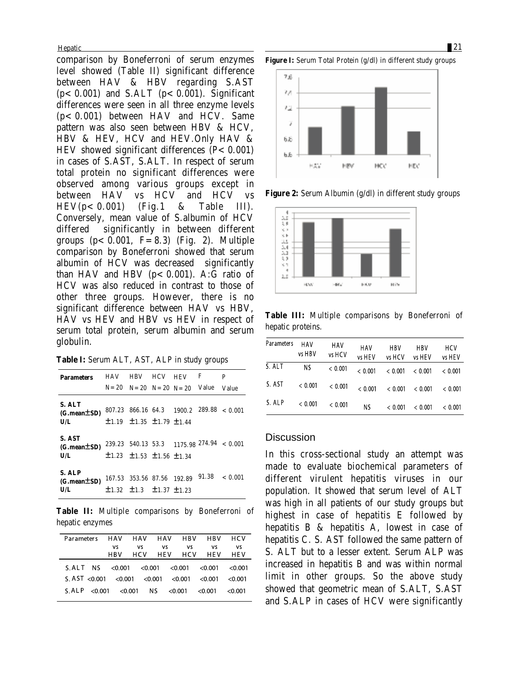Hepatic 21 and 22 and 22 and 22 and 22 and 22 and 22 and 22 and 22 and 22 and 22 and 22 and 22 and 22 and 22 and 22 and 22 and 22 and 22 and 22 and 22 and 22 and 22 and 22 and 22 and 22 and 22 and 22 and 22 and 22 and 22 a

comparison by Boneferroni of serum enzymes level showed (Table II) significant difference between HAV & HBV regarding S.AST  $(p<0.001)$  and S.ALT  $(p<0.001)$ . Significant differences were seen in all three enzyme levels  $(p < 0.001)$  between HAV and HCV. Same pattern was also seen between HBV & HCV, HBV & HEV, HCV and HEV.Only HAV & HEV showed significant differences  $(P < 0.001)$ in cases of S.AST, S.ALT. In respect of serum total protein no significant differences were observed among various groups except in between HAV vs HCV and HCV vs  $HEV(p < 0.001)$  (Fig.1 & Table III). Conversely, mean value of S.albumin of HCV differed significantly in between different groups  $(p < 0.001, F = 8.3)$  (Fig. 2). Multiple comparison by Boneferroni showed that serum albumin of HCV was decreased significantly than HAV and HBV  $(p < 0.001)$ . A:G ratio of HCV was also reduced in contrast to those of other three groups. However, there is no significant difference between HAV vs HBV, HAV vs HEV and HBV vs HEV in respect of serum total protein, serum albumin and serum globulin.

**Table I:** Serum ALT, AST, ALP in study groups

| <b>Parameters</b>                         | <b>HAV</b> | <b>HBV</b>                                  | <b>HCV</b> | <b>HEV</b>                                | F     | P                                           |
|-------------------------------------------|------------|---------------------------------------------|------------|-------------------------------------------|-------|---------------------------------------------|
|                                           |            |                                             |            | $N = 20$ $N = 20$ $N = 20$ $N = 20$ Value |       | Value                                       |
| S. ALT<br>$(G.\text{mean} \pm SD)$<br>U/L |            | $\pm 1.19$ $\pm 1.35$ $\pm 1.79$ $\pm 1.44$ |            | 807.23 866.16 64.3 1900.2 289.88 < 0.001  |       |                                             |
| S. AST<br>$(G.\text{mean} \pm SD)$<br>U/L |            | $\pm 1.23$ $\pm 1.53$ $\pm 1.56$ $\pm 1.34$ |            |                                           |       | $239.23$ 540.13 53.3 1175.98 274.94 < 0.001 |
| S. ALP<br>$(G.\text{mean} \pm SD)$<br>U/L |            | $\pm 1.32$ $\pm 1.3$ $\pm 1.37$ $\pm 1.23$  |            | 167.53 353.56 87.56 192.89                | 91.38 | < 0.001                                     |

**Table II:** Multiple comparisons by Boneferroni of hepatic enzymes

| Parameters HAV HAV HAV HBV HBV                          |     |    |           |           |                 | <b>HCV</b> |
|---------------------------------------------------------|-----|----|-----------|-----------|-----------------|------------|
|                                                         | vs  | vs | <b>VS</b> | <b>VS</b> | vs              | vs         |
|                                                         | HBV |    |           |           | HCV HEV HCV HEV | HEV        |
| $S.ALT$ NS <0.001 <0.001 <0.001 <0.001 <0.001 <0.001    |     |    |           |           |                 |            |
| S. AST <0.001 <0.001 <0.001 <0.001 <0.001 <0.001 <0.001 |     |    |           |           |                 |            |
| $S.ALP < 0.001 < 0.001$ NS $< 0.001 < 0.001$            |     |    |           |           |                 | - <0.001   |

**Figure I:** Serum Total Protein (g/dl) in different study groups



**Figure 2:** Serum Albumin (g/dl) in different study groups



**Table III:** Multiple comparisons by Boneferroni of hepatic proteins.

| Parameters | HAV<br>vs HBV | HAV<br>vs HCV | HAV<br>vs HEV | <b>HBV</b><br>vs HCV | HBV<br>vs HEV | HCV<br>vs HEV |
|------------|---------------|---------------|---------------|----------------------|---------------|---------------|
| S. ALT     | ΝS            | < 0.001       | < 0.001       | < 0.001              | < 0.001       | < 0.001       |
| S. AST     | < 0.001       | < 0.001       | < 0.001       | < 0.001              | < 0.001       | < 0.001       |
| S. ALP     | < 0.001       | < 0.001       | ΝS            | < 0.001              | < 0.001       | < 0.001       |

#### **Discussion**

In this cross-sectional study an attempt was made to evaluate biochemical parameters of different virulent hepatitis viruses in our population. It showed that serum level of ALT was high in all patients of our study groups but highest in case of hepatitis E followed by hepatitis B & hepatitis A, lowest in case of hepatitis C. S. AST followed the same pattern of S. ALT but to a lesser extent. Serum ALP was increased in hepatitis B and was within normal limit in other groups. So the above study showed that geometric mean of S.ALT, S.AST and S.ALP in cases of HCV were significantly